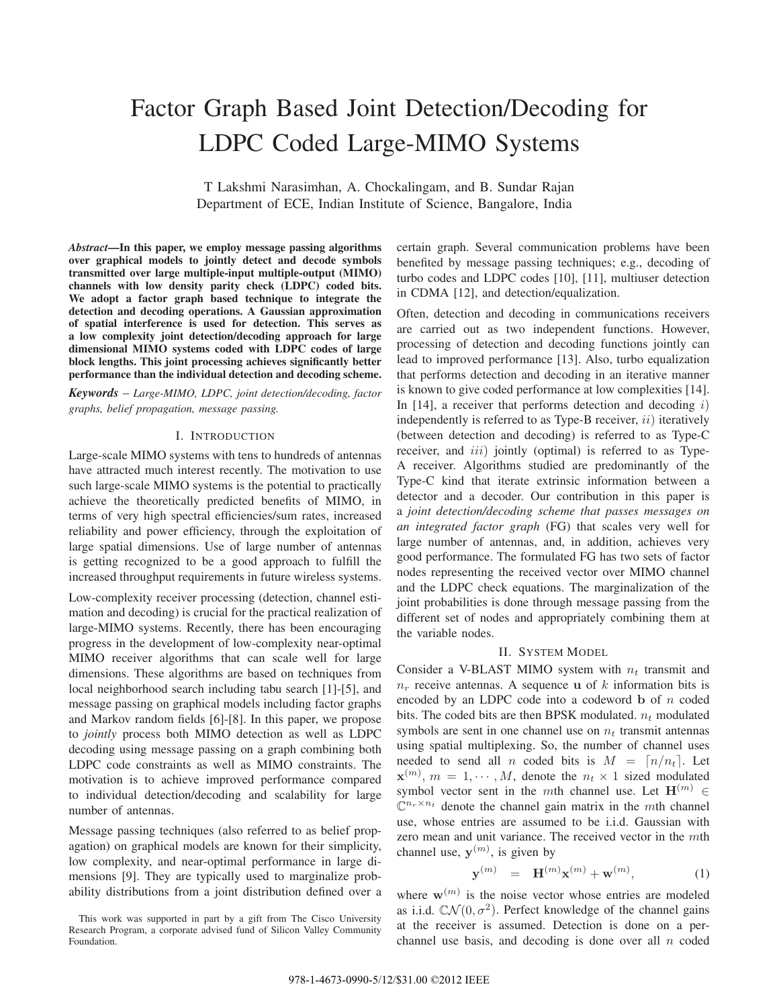# Factor Graph Based Joint Detection/Decoding for LDPC Coded Large-MIMO Systems

T Lakshmi Narasimhan, A. Chockalingam, and B. Sundar Rajan Department of ECE, Indian Institute of Science, Bangalore, India

*Abstract***—In this paper, we employ message passing algorithms over graphical models to jointly detect and decode symbols transmitted over large multiple-input multiple-output (MIMO) channels with low density parity check (LDPC) coded bits. We adopt a factor graph based technique to integrate the detection and decoding operations. A Gaussian approximation of spatial interference is used for detection. This serves as a low complexity joint detection/decoding approach for large dimensional MIMO systems coded with LDPC codes of large block lengths. This joint processing achieves significantly better performance than the individual detection and decoding scheme.**

*Keywords* – *Large-MIMO, LDPC, joint detection/decoding, factor graphs, belief propagation, message passing.*

#### I. INTRODUCTION

Large-scale MIMO systems with tens to hundreds of antennas have attracted much interest recently. The motivation to use such large-scale MIMO systems is the potential to practically achieve the theoretically predicted benefits of MIMO, in terms of very high spectral efficiencies/sum rates, increased reliability and power efficiency, through the exploitation of large spatial dimensions. Use of large number of antennas is getting recognized to be a good approach to fulfill the increased throughput requirements in future wireless systems.

Low-complexity receiver processing (detection, channel estimation and decoding) is crucial for the practical realization of large-MIMO systems. Recently, there has been encouraging progress in the development of low-complexity near-optimal MIMO receiver algorithms that can scale well for large dimensions. These algorithms are based on techniques from local neighborhood search including tabu search [1]-[5], and message passing on graphical models including factor graphs and Markov random fields [6]-[8]. In this paper, we propose to *jointly* process both MIMO detection as well as LDPC decoding using message passing on a graph combining both LDPC code constraints as well as MIMO constraints. The motivation is to achieve improved performance compared to individual detection/decoding and scalability for large number of antennas.

Message passing techniques (also referred to as belief propagation) on graphical models are known for their simplicity, low complexity, and near-optimal performance in large dimensions [9]. They are typically used to marginalize probability distributions from a joint distribution defined over a certain graph. Several communication problems have been benefited by message passing techniques; e.g., decoding of turbo codes and LDPC codes [10], [11], multiuser detection in CDMA [12], and detection/equalization.

Often, detection and decoding in communications receivers are carried out as two independent functions. However, processing of detection and decoding functions jointly can lead to improved performance [13]. Also, turbo equalization that performs detection and decoding in an iterative manner is known to give coded performance at low complexities [14]. In  $[14]$ , a receiver that performs detection and decoding i) independently is referred to as Type-B receiver,  $ii)$  iteratively (between detection and decoding) is referred to as Type-C receiver, and *iii*) jointly (optimal) is referred to as Type-A receiver. Algorithms studied are predominantly of the Type-C kind that iterate extrinsic information between a detector and a decoder. Our contribution in this paper is a *joint detection/decoding scheme that passes messages on an integrated factor graph* (FG) that scales very well for large number of antennas, and, in addition, achieves very good performance. The formulated FG has two sets of factor nodes representing the received vector over MIMO channel and the LDPC check equations. The marginalization of the joint probabilities is done through message passing from the different set of nodes and appropriately combining them at the variable nodes.

## II. SYSTEM MODEL

Consider a V-BLAST MIMO system with  $n_t$  transmit and  $n_r$  receive antennas. A sequence **u** of k information bits is encoded by an LDPC code into a codeword **b** of n coded bits. The coded bits are then BPSK modulated.  $n_t$  modulated symbols are sent in one channel use on  $n_t$  transmit antennas using spatial multiplexing. So, the number of channel uses needed to send all *n* coded bits is  $M = \lceil n/n_t \rceil$ . Let  $\mathbf{x}^{(m)}$ ,  $m = 1, \cdots, M$ , denote the  $n_t \times 1$  sized modulated symbol vector sent in the mth channel use. Let  $\mathbf{H}^{(m)} \in$  $\mathbb{C}^{n_r \times n_t}$  denote the channel gain matrix in the *mth* channel use, whose entries are assumed to be i.i.d. Gaussian with zero mean and unit variance. The received vector in the mth channel use,  $y^{(m)}$ , is given by

$$
\mathbf{y}^{(m)} = \mathbf{H}^{(m)} \mathbf{x}^{(m)} + \mathbf{w}^{(m)}, \tag{1}
$$

where  $w^{(m)}$  is the noise vector whose entries are modeled as i.i.d.  $CN(0, \sigma^2)$ . Perfect knowledge of the channel gains at the receiver is assumed. Detection is done on a perchannel use basis, and decoding is done over all  $n$  coded

This work was supported in part by a gift from The Cisco University Research Program, a corporate advised fund of Silicon Valley Community Foundation.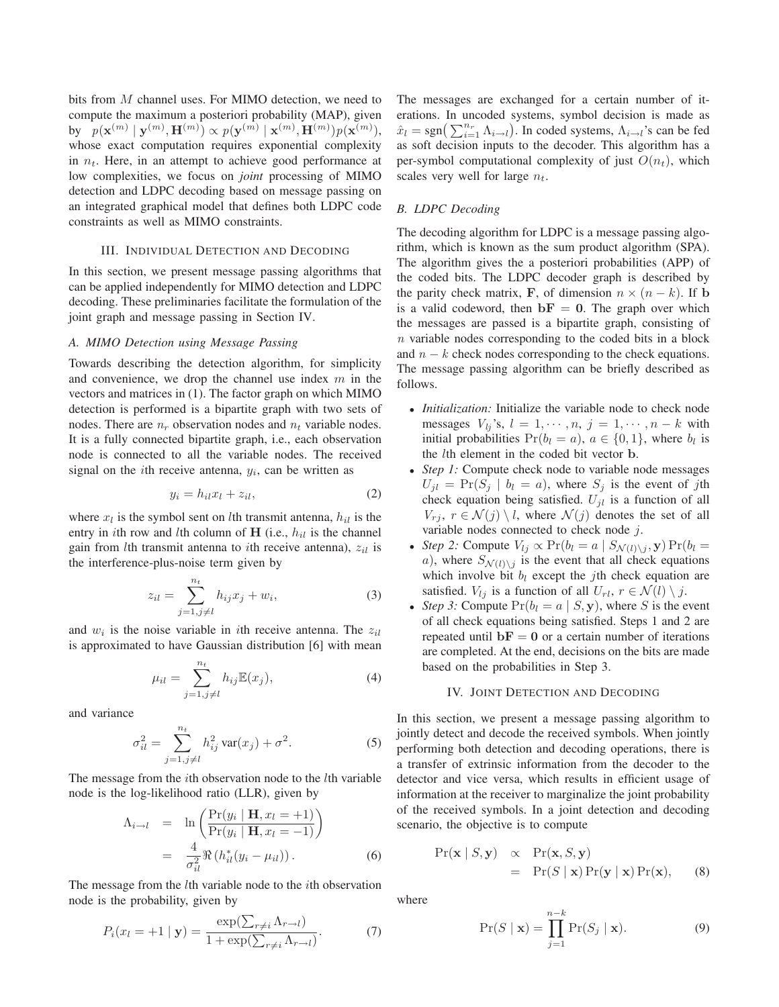bits from M channel uses. For MIMO detection, we need to compute the maximum a posteriori probability (MAP), given  $\quad \text{by} \quad p(\mathbf{x}^{(m)} \mid \mathbf{y}^{(m)}, \mathbf{H}^{(m)}) \propto p(\mathbf{y}^{(m)} \mid \mathbf{x}^{(m)}, \mathbf{H}^{(m)}) p(\mathbf{x}^{(m)}),$ whose exact computation requires exponential complexity in  $n_t$ . Here, in an attempt to achieve good performance at low complexities, we focus on *joint* processing of MIMO detection and LDPC decoding based on message passing on an integrated graphical model that defines both LDPC code constraints as well as MIMO constraints.

## III. INDIVIDUAL DETECTION AND DECODING

In this section, we present message passing algorithms that can be applied independently for MIMO detection and LDPC decoding. These preliminaries facilitate the formulation of the joint graph and message passing in Section IV.

## *A. MIMO Detection using Message Passing*

Towards describing the detection algorithm, for simplicity and convenience, we drop the channel use index  $m$  in the vectors and matrices in (1). The factor graph on which MIMO detection is performed is a bipartite graph with two sets of nodes. There are  $n_r$  observation nodes and  $n_t$  variable nodes. It is a fully connected bipartite graph, i.e., each observation node is connected to all the variable nodes. The received signal on the *i*th receive antenna,  $y_i$ , can be written as

$$
y_i = h_{il}x_l + z_{il},\tag{2}
$$

where  $x_l$  is the symbol sent on *l*th transmit antenna,  $h_{il}$  is the entry in *i*th row and *l*th column of **H** (i.e.,  $h_{il}$  is the channel gain from *l*th transmit antenna to *i*th receive antenna),  $z_{il}$  is the interference-plus-noise term given by

$$
z_{il} = \sum_{j=1, j \neq l}^{n_t} h_{ij} x_j + w_i,
$$
 (3)

and  $w_i$  is the noise variable in *i*th receive antenna. The  $z_{il}$ is approximated to have Gaussian distribution [6] with mean

$$
\mu_{il} = \sum_{j=1, j \neq l}^{n_t} h_{ij} \mathbb{E}(x_j), \tag{4}
$$

and variance

$$
\sigma_{il}^2 = \sum_{j=1, j \neq l}^{n_t} h_{ij}^2 \operatorname{var}(x_j) + \sigma^2.
$$
 (5)

The message from the *i*th observation node to the *l*th variable node is the log-likelihood ratio (LLR), given by

$$
\Lambda_{i \to l} = \ln \left( \frac{\Pr(y_i \mid \mathbf{H}, x_l = +1)}{\Pr(y_i \mid \mathbf{H}, x_l = -1)} \right)
$$

$$
= \frac{4}{\sigma_{il}^2} \Re \left( h_{il}^*(y_i - \mu_{il}) \right). \tag{6}
$$

The message from the *l*th variable node to the *i*th observation node is the probability, given by

$$
P_i(x_l = +1 \mid \mathbf{y}) = \frac{\exp(\sum_{r \neq i} \Lambda_{r \to l})}{1 + \exp(\sum_{r \neq i} \Lambda_{r \to l})}.
$$
 (7)

The messages are exchanged for a certain number of iterations. In uncoded systems, symbol decision is made as  $\hat{x}_l = \text{sgn}\left(\sum_{i=1}^{n_r} \Lambda_{i \to l}\right)$ . In coded systems,  $\Lambda_{i \to l}$ 's can be fed as soft decision inputs to the decoder. This algorithm has a per-symbol computational complexity of just  $O(n_t)$ , which scales very well for large  $n_t$ .

## *B. LDPC Decoding*

The decoding algorithm for LDPC is a message passing algorithm, which is known as the sum product algorithm (SPA). The algorithm gives the a posteriori probabilities (APP) of the coded bits. The LDPC decoder graph is described by the parity check matrix, **F**, of dimension  $n \times (n - k)$ . If **b** is a valid codeword, then  $\mathbf{b}F = 0$ . The graph over which the messages are passed is a bipartite graph, consisting of *n* variable nodes corresponding to the coded bits in a block and  $n - k$  check nodes corresponding to the check equations. The message passing algorithm can be briefly described as follows.

- *Initialization:* Initialize the variable node to check node messages  $V_{lj}$ 's,  $l = 1, \dots, n, j = 1, \dots, n - k$  with initial probabilities  $Pr(b_l = a)$ ,  $a \in \{0, 1\}$ , where  $b_l$  is the lth element in the coded bit vector **b**.
- *Step 1:* Compute check node to variable node messages  $U_{jl} = \Pr(S_j | b_l = a)$ , where  $S_j$  is the event of jth check equation being satisfied.  $U_{jl}$  is a function of all  $V_{ri}$ ,  $r \in \mathcal{N}(j) \setminus l$ , where  $\mathcal{N}(j)$  denotes the set of all variable nodes connected to check node j.
- *Step 2:* Compute  $V_{lj} \propto \Pr(b_l = a \mid S_{\mathcal{N}(l) \setminus j}, \mathbf{y}) \Pr(b_l = a \mid S_{\mathcal{N}(l)} \setminus j)$ a), where  $S_{\mathcal{N}(l)\setminus j}$  is the event that all check equations which involve bit  $b_l$  except the jth check equation are satisfied.  $V_{lj}$  is a function of all  $U_{rl}$ ,  $r \in \mathcal{N}(l) \setminus j$ .
- *Step 3:* Compute  $Pr(b_l = a \mid S, y)$ , where S is the event of all check equations being satisfied. Steps 1 and 2 are repeated until  $\mathbf{b} \mathbf{F} = \mathbf{0}$  or a certain number of iterations are completed. At the end, decisions on the bits are made based on the probabilities in Step 3.

## IV. JOINT DETECTION AND DECODING

In this section, we present a message passing algorithm to jointly detect and decode the received symbols. When jointly performing both detection and decoding operations, there is a transfer of extrinsic information from the decoder to the detector and vice versa, which results in efficient usage of information at the receiver to marginalize the joint probability of the received symbols. In a joint detection and decoding scenario, the objective is to compute

$$
Pr(\mathbf{x} | S, \mathbf{y}) \propto Pr(\mathbf{x}, S, \mathbf{y})
$$
  
= Pr(S | \mathbf{x}) Pr(\mathbf{y} | \mathbf{x}) Pr(\mathbf{x}), (8)

where

$$
\Pr(S \mid \mathbf{x}) = \prod_{j=1}^{n-k} \Pr(S_j \mid \mathbf{x}).\tag{9}
$$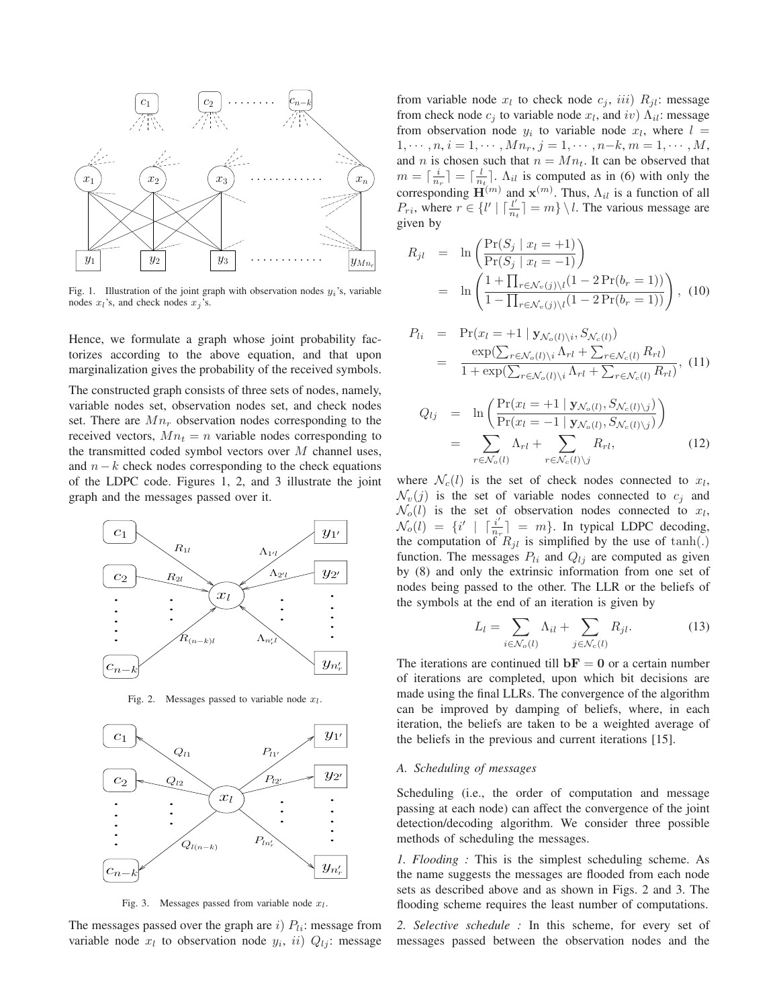

Fig. 1. Illustration of the joint graph with observation nodes  $y_i$ 's, variable nodes  $x_l$ 's, and check nodes  $x_j$ 's.

Hence, we formulate a graph whose joint probability factorizes according to the above equation, and that upon marginalization gives the probability of the received symbols.

The constructed graph consists of three sets of nodes, namely, variable nodes set, observation nodes set, and check nodes set. There are  $Mn_r$  observation nodes corresponding to the received vectors,  $Mn_t = n$  variable nodes corresponding to the transmitted coded symbol vectors over  $M$  channel uses, and  $n-k$  check nodes corresponding to the check equations of the LDPC code. Figures 1, 2, and 3 illustrate the joint graph and the messages passed over it.



Fig. 2. Messages passed to variable node *xl*.



Fig. 3. Messages passed from variable node *xl*.

The messages passed over the graph are i)  $P_{li}$ : message from variable node  $x_l$  to observation node  $y_i$ ,  $ii)$   $Q_{lj}$ : message from variable node  $x_l$  to check node  $c_j$ , iii)  $R_{jl}$ : message from check node  $c_i$  to variable node  $x_l$ , and iv)  $\Lambda_{il}$ : message from observation node  $y_i$  to variable node  $x_l$ , where  $l =$  $1, \dots, n, i = 1, \dots, M_{n_r}, j = 1, \dots, n-k, m = 1, \dots, M,$ and *n* is chosen such that  $n = Mn_t$ . It can be observed that  $m = \lceil \frac{i}{n_r} \rceil = \lceil \frac{l}{n_t} \rceil$ .  $\Lambda_{il}$  is computed as in (6) with only the corresponding  $\mathbf{H}^{(m)}$  and  $\mathbf{x}^{(m)}$ . Thus,  $\Lambda_{il}$  is a function of all  $P_{ri}$ , where  $r \in \{l' \mid \lceil \frac{l'}{n_t} \rceil = m\} \setminus l$ . The various message are given by

$$
R_{jl} = \ln \left( \frac{\Pr(S_j \mid x_l = +1)}{\Pr(S_j \mid x_l = -1)} \right)
$$
  
= 
$$
\ln \left( \frac{1 + \prod_{r \in \mathcal{N}_v(j) \setminus l} (1 - 2 \Pr(b_r = 1))}{1 - \prod_{r \in \mathcal{N}_v(j) \setminus l} (1 - 2 \Pr(b_r = 1))} \right), (10)
$$

$$
P_{li} = \Pr(x_l = +1 \mid \mathbf{y}_{\mathcal{N}_o(l)\backslash i}, S_{\mathcal{N}_c(l)})
$$
  
= 
$$
\frac{\exp(\sum_{r \in \mathcal{N}_o(l)\backslash i} \Lambda_{rl} + \sum_{r \in \mathcal{N}_c(l)} R_{rl})}{1 + \exp(\sum_{r \in \mathcal{N}_o(l)\backslash i} \Lambda_{rl} + \sum_{r \in \mathcal{N}_c(l)} R_{rl})},
$$
(11)

$$
Q_{lj} = \ln \left( \frac{\Pr(x_l = +1 \mid \mathbf{y}_{\mathcal{N}_o(l)}, S_{\mathcal{N}_c(l)\setminus j})}{\Pr(x_l = -1 \mid \mathbf{y}_{\mathcal{N}_o(l)}, S_{\mathcal{N}_c(l)\setminus j})} \right)
$$
  
= 
$$
\sum_{r \in \mathcal{N}_o(l)} \Lambda_{rl} + \sum_{r \in \mathcal{N}_c(l)\setminus j} R_{rl}, \tag{12}
$$

where  $\mathcal{N}_c(l)$  is the set of check nodes connected to  $x_l$ ,  $\mathcal{N}_v(j)$  is the set of variable nodes connected to  $c_i$  and  $\mathcal{N}_o(l)$  is the set of observation nodes connected to  $x_l$ ,  $\mathcal{N}_o(l) = \{i' \mid \lceil \frac{i'}{n_r} \rceil = m\}$ . In typical LDPC decoding, the computation of  $R_{jl}$  is simplified by the use of tanh(.) function. The messages  $P_{li}$  and  $Q_{lj}$  are computed as given by (8) and only the extrinsic information from one set of nodes being passed to the other. The LLR or the beliefs of the symbols at the end of an iteration is given by

$$
L_l = \sum_{i \in \mathcal{N}_o(l)} \Lambda_{il} + \sum_{j \in \mathcal{N}_c(l)} R_{jl}.
$$
 (13)

The iterations are continued till  $\mathbf{b} \mathbf{F} = \mathbf{0}$  or a certain number of iterations are completed, upon which bit decisions are made using the final LLRs. The convergence of the algorithm can be improved by damping of beliefs, where, in each iteration, the beliefs are taken to be a weighted average of the beliefs in the previous and current iterations [15].

## *A. Scheduling of messages*

Scheduling (i.e., the order of computation and message passing at each node) can affect the convergence of the joint detection/decoding algorithm. We consider three possible methods of scheduling the messages.

*1. Flooding :* This is the simplest scheduling scheme. As the name suggests the messages are flooded from each node sets as described above and as shown in Figs. 2 and 3. The flooding scheme requires the least number of computations.

*2. Selective schedule :* In this scheme, for every set of messages passed between the observation nodes and the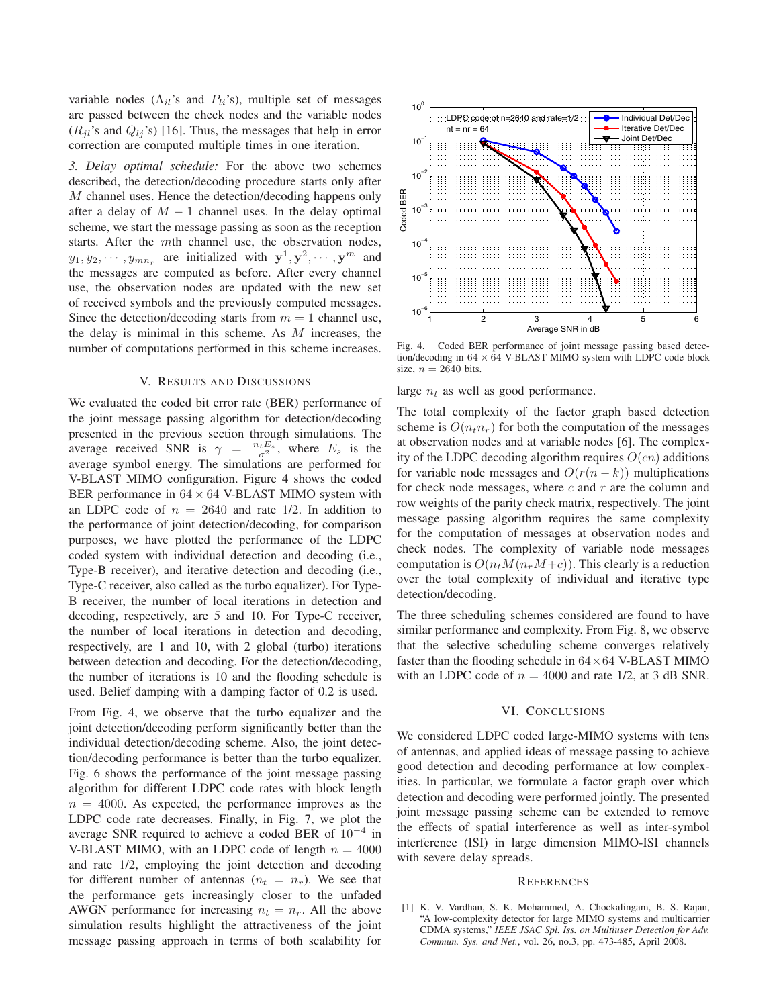variable nodes ( $\Lambda_{il}$ 's and  $P_{li}$ 's), multiple set of messages are passed between the check nodes and the variable nodes  $(R_{jl}$ 's and  $Q_{lj}$ 's) [16]. Thus, the messages that help in error correction are computed multiple times in one iteration.

*3. Delay optimal schedule:* For the above two schemes described, the detection/decoding procedure starts only after M channel uses. Hence the detection/decoding happens only after a delay of  $M - 1$  channel uses. In the delay optimal scheme, we start the message passing as soon as the reception starts. After the mth channel use, the observation nodes,  $y_1, y_2, \dots, y_{mn_r}$  are initialized with  $\mathbf{y}^1, \mathbf{y}^2, \dots, \mathbf{y}^m$  and the messages are computed as before. After every channel use, the observation nodes are updated with the new set of received symbols and the previously computed messages. Since the detection/decoding starts from  $m = 1$  channel use, the delay is minimal in this scheme. As M increases, the number of computations performed in this scheme increases.

#### V. RESULTS AND DISCUSSIONS

We evaluated the coded bit error rate (BER) performance of the joint message passing algorithm for detection/decoding presented in the previous section through simulations. The average received SNR is  $\gamma = \frac{n_t E_s}{\sigma^2}$ , where  $E_s$  is the average symbol energy. The simulations are performed for V-BLAST MIMO configuration. Figure 4 shows the coded BER performance in  $64 \times 64$  V-BLAST MIMO system with an LDPC code of  $n = 2640$  and rate 1/2. In addition to the performance of joint detection/decoding, for comparison purposes, we have plotted the performance of the LDPC coded system with individual detection and decoding (i.e., Type-B receiver), and iterative detection and decoding (i.e., Type-C receiver, also called as the turbo equalizer). For Type-B receiver, the number of local iterations in detection and decoding, respectively, are 5 and 10. For Type-C receiver, the number of local iterations in detection and decoding, respectively, are 1 and 10, with 2 global (turbo) iterations between detection and decoding. For the detection/decoding, the number of iterations is 10 and the flooding schedule is used. Belief damping with a damping factor of 0.2 is used.

From Fig. 4, we observe that the turbo equalizer and the joint detection/decoding perform significantly better than the individual detection/decoding scheme. Also, the joint detection/decoding performance is better than the turbo equalizer. Fig. 6 shows the performance of the joint message passing algorithm for different LDPC code rates with block length  $n = 4000$ . As expected, the performance improves as the LDPC code rate decreases. Finally, in Fig. 7, we plot the average SNR required to achieve a coded BER of  $10^{-4}$  in V-BLAST MIMO, with an LDPC code of length  $n = 4000$ and rate 1/2, employing the joint detection and decoding for different number of antennas  $(n_t = n_r)$ . We see that the performance gets increasingly closer to the unfaded AWGN performance for increasing  $n_t = n_r$ . All the above simulation results highlight the attractiveness of the joint message passing approach in terms of both scalability for



Fig. 4. Coded BER performance of joint message passing based detection/decoding in 64 *×* 64 V-BLAST MIMO system with LDPC code block size,  $n = 2640$  bits.

large  $n_t$  as well as good performance.

The total complexity of the factor graph based detection scheme is  $O(n_t n_r)$  for both the computation of the messages at observation nodes and at variable nodes [6]. The complexity of the LDPC decoding algorithm requires  $O(cn)$  additions for variable node messages and  $O(r(n-k))$  multiplications for check node messages, where  $c$  and  $r$  are the column and row weights of the parity check matrix, respectively. The joint message passing algorithm requires the same complexity for the computation of messages at observation nodes and check nodes. The complexity of variable node messages computation is  $O(n_tM(n_rM+c))$ . This clearly is a reduction over the total complexity of individual and iterative type detection/decoding.

The three scheduling schemes considered are found to have similar performance and complexity. From Fig. 8, we observe that the selective scheduling scheme converges relatively faster than the flooding schedule in  $64 \times 64$  V-BLAST MIMO with an LDPC code of  $n = 4000$  and rate 1/2, at 3 dB SNR.

#### VI. CONCLUSIONS

We considered LDPC coded large-MIMO systems with tens of antennas, and applied ideas of message passing to achieve good detection and decoding performance at low complexities. In particular, we formulate a factor graph over which detection and decoding were performed jointly. The presented joint message passing scheme can be extended to remove the effects of spatial interference as well as inter-symbol interference (ISI) in large dimension MIMO-ISI channels with severe delay spreads.

#### **REFERENCES**

[1] K. V. Vardhan, S. K. Mohammed, A. Chockalingam, B. S. Rajan, "A low-complexity detector for large MIMO systems and multicarrier CDMA systems," *IEEE JSAC Spl. Iss. on Multiuser Detection for Adv. Commun. Sys. and Net.*, vol. 26, no.3, pp. 473-485, April 2008.